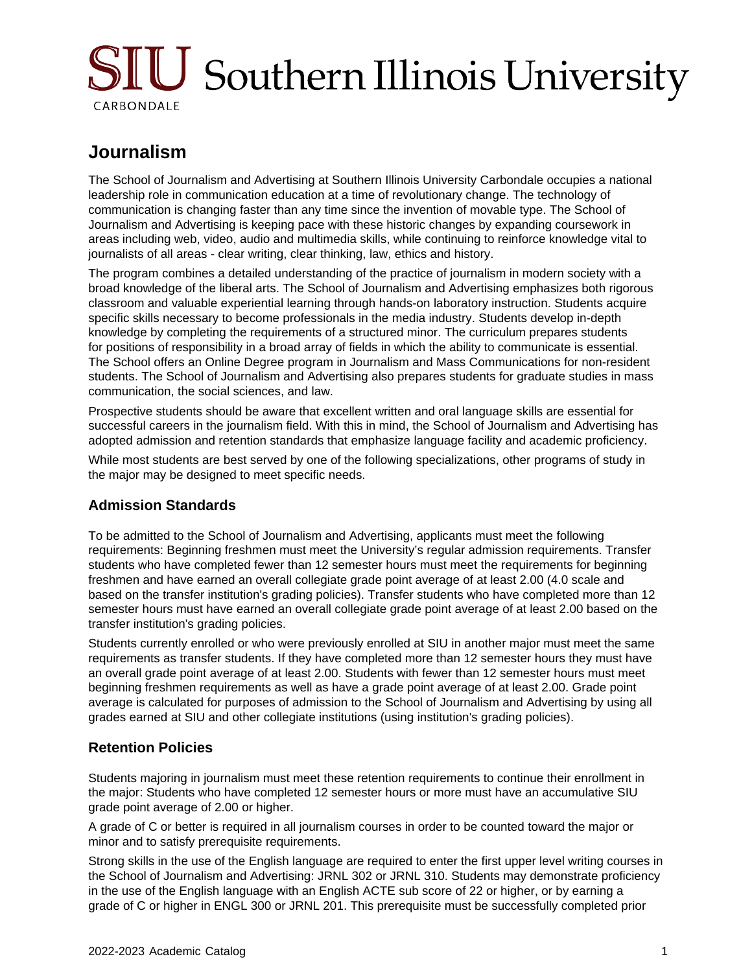# SIU Southern Illinois University CARBONDALE

## **Journalism**

The School of Journalism and Advertising at Southern Illinois University Carbondale occupies a national leadership role in communication education at a time of revolutionary change. The technology of communication is changing faster than any time since the invention of movable type. The School of Journalism and Advertising is keeping pace with these historic changes by expanding coursework in areas including web, video, audio and multimedia skills, while continuing to reinforce knowledge vital to journalists of all areas - clear writing, clear thinking, law, ethics and history.

The program combines a detailed understanding of the practice of journalism in modern society with a broad knowledge of the liberal arts. The School of Journalism and Advertising emphasizes both rigorous classroom and valuable experiential learning through hands-on laboratory instruction. Students acquire specific skills necessary to become professionals in the media industry. Students develop in-depth knowledge by completing the requirements of a structured minor. The curriculum prepares students for positions of responsibility in a broad array of fields in which the ability to communicate is essential. The School offers an Online Degree program in Journalism and Mass Communications for non-resident students. The School of Journalism and Advertising also prepares students for graduate studies in mass communication, the social sciences, and law.

Prospective students should be aware that excellent written and oral language skills are essential for successful careers in the journalism field. With this in mind, the School of Journalism and Advertising has adopted admission and retention standards that emphasize language facility and academic proficiency.

While most students are best served by one of the following specializations, other programs of study in the major may be designed to meet specific needs.

#### **Admission Standards**

To be admitted to the School of Journalism and Advertising, applicants must meet the following requirements: Beginning freshmen must meet the University's regular admission requirements. Transfer students who have completed fewer than 12 semester hours must meet the requirements for beginning freshmen and have earned an overall collegiate grade point average of at least 2.00 (4.0 scale and based on the transfer institution's grading policies). Transfer students who have completed more than 12 semester hours must have earned an overall collegiate grade point average of at least 2.00 based on the transfer institution's grading policies.

Students currently enrolled or who were previously enrolled at SIU in another major must meet the same requirements as transfer students. If they have completed more than 12 semester hours they must have an overall grade point average of at least 2.00. Students with fewer than 12 semester hours must meet beginning freshmen requirements as well as have a grade point average of at least 2.00. Grade point average is calculated for purposes of admission to the School of Journalism and Advertising by using all grades earned at SIU and other collegiate institutions (using institution's grading policies).

#### **Retention Policies**

Students majoring in journalism must meet these retention requirements to continue their enrollment in the major: Students who have completed 12 semester hours or more must have an accumulative SIU grade point average of 2.00 or higher.

A grade of C or better is required in all journalism courses in order to be counted toward the major or minor and to satisfy prerequisite requirements.

Strong skills in the use of the English language are required to enter the first upper level writing courses in the School of Journalism and Advertising: JRNL 302 or JRNL 310. Students may demonstrate proficiency in the use of the English language with an English ACTE sub score of 22 or higher, or by earning a grade of C or higher in ENGL 300 or JRNL 201. This prerequisite must be successfully completed prior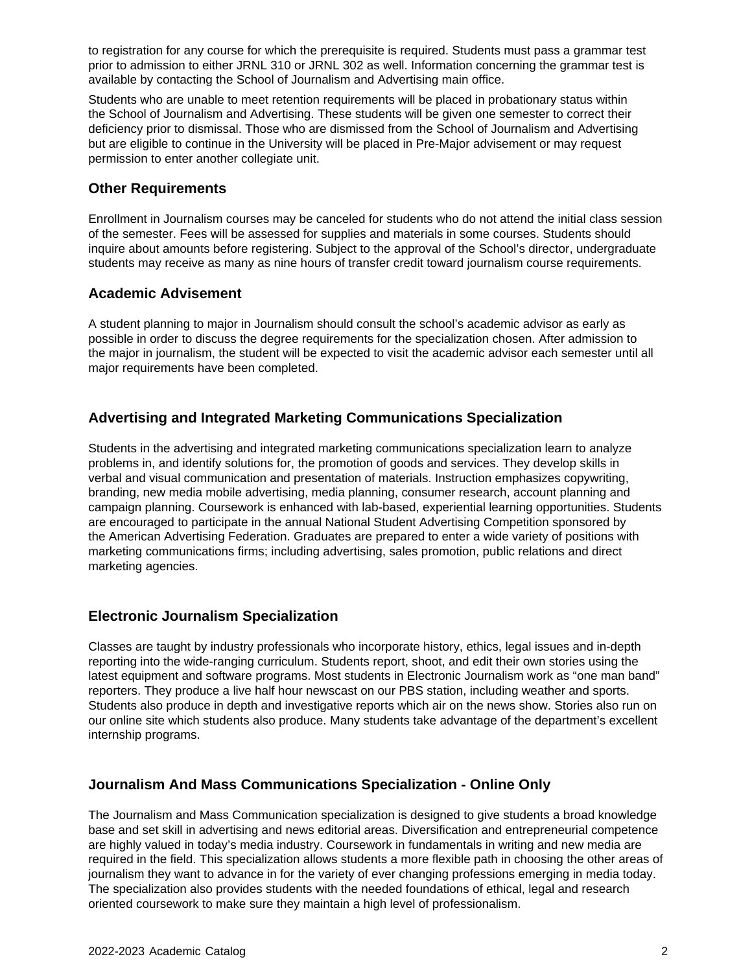to registration for any course for which the prerequisite is required. Students must pass a grammar test prior to admission to either JRNL 310 or JRNL 302 as well. Information concerning the grammar test is available by contacting the School of Journalism and Advertising main office.

Students who are unable to meet retention requirements will be placed in probationary status within the School of Journalism and Advertising. These students will be given one semester to correct their deficiency prior to dismissal. Those who are dismissed from the School of Journalism and Advertising but are eligible to continue in the University will be placed in Pre-Major advisement or may request permission to enter another collegiate unit.

#### **Other Requirements**

Enrollment in Journalism courses may be canceled for students who do not attend the initial class session of the semester. Fees will be assessed for supplies and materials in some courses. Students should inquire about amounts before registering. Subject to the approval of the School's director, undergraduate students may receive as many as nine hours of transfer credit toward journalism course requirements.

#### **Academic Advisement**

A student planning to major in Journalism should consult the school's academic advisor as early as possible in order to discuss the degree requirements for the specialization chosen. After admission to the major in journalism, the student will be expected to visit the academic advisor each semester until all major requirements have been completed.

#### **Advertising and Integrated Marketing Communications Specialization**

Students in the advertising and integrated marketing communications specialization learn to analyze problems in, and identify solutions for, the promotion of goods and services. They develop skills in verbal and visual communication and presentation of materials. Instruction emphasizes copywriting, branding, new media mobile advertising, media planning, consumer research, account planning and campaign planning. Coursework is enhanced with lab-based, experiential learning opportunities. Students are encouraged to participate in the annual National Student Advertising Competition sponsored by the American Advertising Federation. Graduates are prepared to enter a wide variety of positions with marketing communications firms; including advertising, sales promotion, public relations and direct marketing agencies.

#### **Electronic Journalism Specialization**

Classes are taught by industry professionals who incorporate history, ethics, legal issues and in-depth reporting into the wide-ranging curriculum. Students report, shoot, and edit their own stories using the latest equipment and software programs. Most students in Electronic Journalism work as "one man band" reporters. They produce a live half hour newscast on our PBS station, including weather and sports. Students also produce in depth and investigative reports which air on the news show. Stories also run on our online site which students also produce. Many students take advantage of the department's excellent internship programs.

#### **Journalism And Mass Communications Specialization - Online Only**

The Journalism and Mass Communication specialization is designed to give students a broad knowledge base and set skill in advertising and news editorial areas. Diversification and entrepreneurial competence are highly valued in today's media industry. Coursework in fundamentals in writing and new media are required in the field. This specialization allows students a more flexible path in choosing the other areas of journalism they want to advance in for the variety of ever changing professions emerging in media today. The specialization also provides students with the needed foundations of ethical, legal and research oriented coursework to make sure they maintain a high level of professionalism.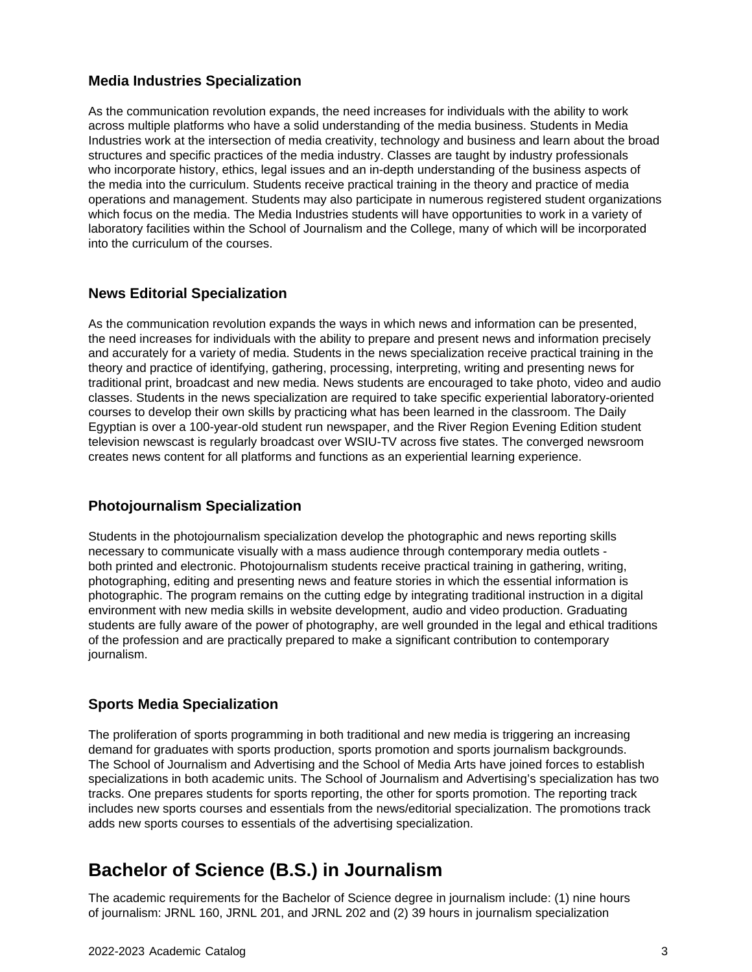#### **Media Industries Specialization**

As the communication revolution expands, the need increases for individuals with the ability to work across multiple platforms who have a solid understanding of the media business. Students in Media Industries work at the intersection of media creativity, technology and business and learn about the broad structures and specific practices of the media industry. Classes are taught by industry professionals who incorporate history, ethics, legal issues and an in-depth understanding of the business aspects of the media into the curriculum. Students receive practical training in the theory and practice of media operations and management. Students may also participate in numerous registered student organizations which focus on the media. The Media Industries students will have opportunities to work in a variety of laboratory facilities within the School of Journalism and the College, many of which will be incorporated into the curriculum of the courses.

#### **News Editorial Specialization**

As the communication revolution expands the ways in which news and information can be presented, the need increases for individuals with the ability to prepare and present news and information precisely and accurately for a variety of media. Students in the news specialization receive practical training in the theory and practice of identifying, gathering, processing, interpreting, writing and presenting news for traditional print, broadcast and new media. News students are encouraged to take photo, video and audio classes. Students in the news specialization are required to take specific experiential laboratory-oriented courses to develop their own skills by practicing what has been learned in the classroom. The Daily Egyptian is over a 100-year-old student run newspaper, and the River Region Evening Edition student television newscast is regularly broadcast over WSIU-TV across five states. The converged newsroom creates news content for all platforms and functions as an experiential learning experience.

#### **Photojournalism Specialization**

Students in the photojournalism specialization develop the photographic and news reporting skills necessary to communicate visually with a mass audience through contemporary media outlets both printed and electronic. Photojournalism students receive practical training in gathering, writing, photographing, editing and presenting news and feature stories in which the essential information is photographic. The program remains on the cutting edge by integrating traditional instruction in a digital environment with new media skills in website development, audio and video production. Graduating students are fully aware of the power of photography, are well grounded in the legal and ethical traditions of the profession and are practically prepared to make a significant contribution to contemporary journalism.

#### **Sports Media Specialization**

The proliferation of sports programming in both traditional and new media is triggering an increasing demand for graduates with sports production, sports promotion and sports journalism backgrounds. The School of Journalism and Advertising and the School of Media Arts have joined forces to establish specializations in both academic units. The School of Journalism and Advertising's specialization has two tracks. One prepares students for sports reporting, the other for sports promotion. The reporting track includes new sports courses and essentials from the news/editorial specialization. The promotions track adds new sports courses to essentials of the advertising specialization.

## **Bachelor of Science (B.S.) in Journalism**

The academic requirements for the Bachelor of Science degree in journalism include: (1) nine hours of journalism: JRNL 160, JRNL 201, and JRNL 202 and (2) 39 hours in journalism specialization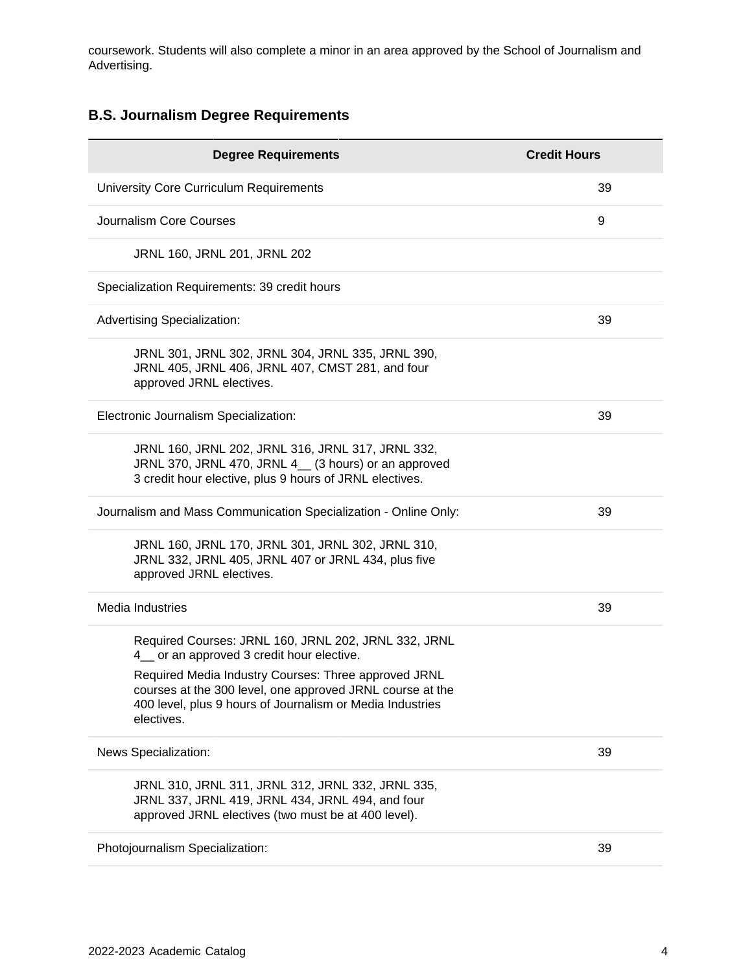coursework. Students will also complete a minor in an area approved by the School of Journalism and Advertising.

### **B.S. Journalism Degree Requirements**

| <b>Degree Requirements</b>                                                                                                                                                                   | <b>Credit Hours</b> |
|----------------------------------------------------------------------------------------------------------------------------------------------------------------------------------------------|---------------------|
| University Core Curriculum Requirements                                                                                                                                                      | 39                  |
| Journalism Core Courses                                                                                                                                                                      | 9                   |
| JRNL 160, JRNL 201, JRNL 202                                                                                                                                                                 |                     |
| Specialization Requirements: 39 credit hours                                                                                                                                                 |                     |
| <b>Advertising Specialization:</b>                                                                                                                                                           | 39                  |
| JRNL 301, JRNL 302, JRNL 304, JRNL 335, JRNL 390,<br>JRNL 405, JRNL 406, JRNL 407, CMST 281, and four<br>approved JRNL electives.                                                            |                     |
| Electronic Journalism Specialization:                                                                                                                                                        | 39                  |
| JRNL 160, JRNL 202, JRNL 316, JRNL 317, JRNL 332,<br>JRNL 370, JRNL 470, JRNL 4_ (3 hours) or an approved<br>3 credit hour elective, plus 9 hours of JRNL electives.                         |                     |
| Journalism and Mass Communication Specialization - Online Only:                                                                                                                              | 39                  |
| JRNL 160, JRNL 170, JRNL 301, JRNL 302, JRNL 310,<br>JRNL 332, JRNL 405, JRNL 407 or JRNL 434, plus five<br>approved JRNL electives.                                                         |                     |
| Media Industries                                                                                                                                                                             | 39                  |
| Required Courses: JRNL 160, JRNL 202, JRNL 332, JRNL<br>4_ or an approved 3 credit hour elective.                                                                                            |                     |
| Required Media Industry Courses: Three approved JRNL<br>courses at the 300 level, one approved JRNL course at the<br>400 level, plus 9 hours of Journalism or Media Industries<br>electives. |                     |
| News Specialization:                                                                                                                                                                         | 39                  |
| JRNL 310, JRNL 311, JRNL 312, JRNL 332, JRNL 335,<br>JRNL 337, JRNL 419, JRNL 434, JRNL 494, and four<br>approved JRNL electives (two must be at 400 level).                                 |                     |
| Photojournalism Specialization:                                                                                                                                                              | 39                  |